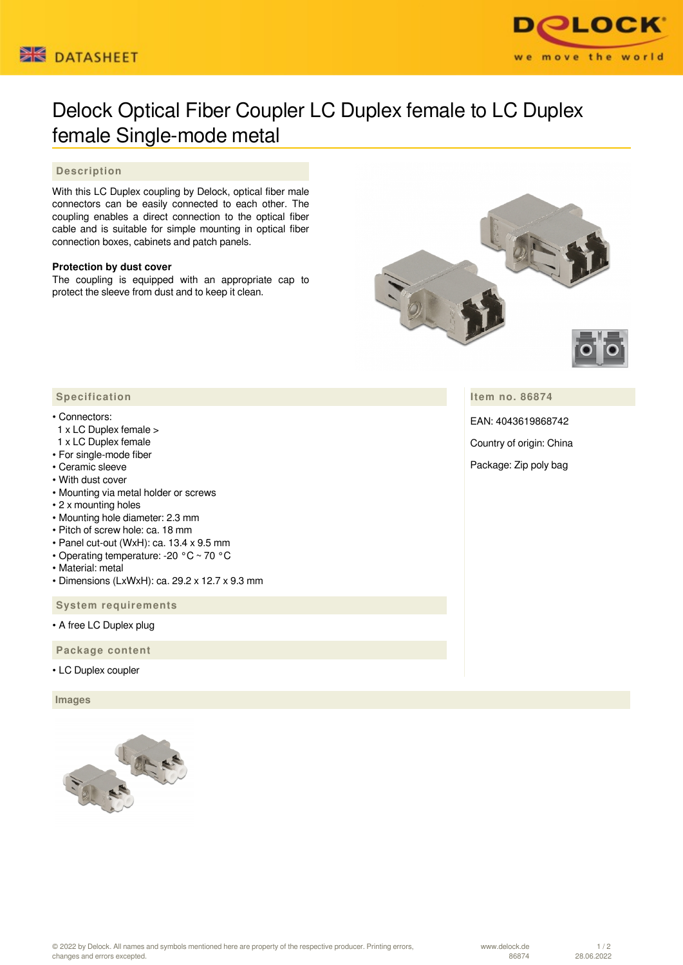



# Delock Optical Fiber Coupler LC Duplex female to LC Duplex female Single-mode metal

## **Description**

With this LC Duplex coupling by Delock, optical fiber male connectors can be easily connected to each other. The coupling enables a direct connection to the optical fiber cable and is suitable for simple mounting in optical fiber connection boxes, cabinets and patch panels.

#### **Protection by dust cover**

The coupling is equipped with an appropriate cap to protect the sleeve from dust and to keep it clean.



**Item no. 86874**

EAN: 4043619868742

Country of origin: China

Package: Zip poly bag

### **Specification**

#### • Connectors:

- 1 x LC Duplex female >
- 1 x LC Duplex female
- For single-mode fiber
- Ceramic sleeve
- With dust cover
- Mounting via metal holder or screws
- 2 x mounting holes
- Mounting hole diameter: 2.3 mm
- Pitch of screw hole: ca. 18 mm
- Panel cut-out (WxH): ca. 13.4 x 9.5 mm
- Operating temperature: -20 °C ~ 70 °C
- Material: metal
- Dimensions (LxWxH): ca. 29.2 x 12.7 x 9.3 mm

 **System requirements**

• A free LC Duplex plug

 **Package content**

• LC Duplex coupler

 **Images**